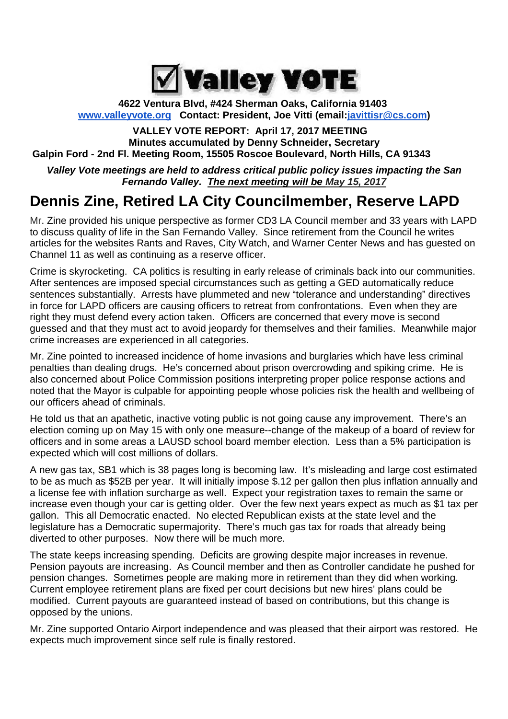

#### **4622 Ventura Blvd, #424 Sherman Oaks, California 91403 www.valleyvote.org Contact: President, Joe Vitti (email:javittisr@cs.com)**

#### **VALLEY VOTE REPORT: April 17, 2017 MEETING Minutes accumulated by Denny Schneider, Secretary Galpin Ford - 2nd Fl. Meeting Room, 15505 Roscoe Boulevard, North Hills, CA 91343**

*Valley Vote meetings are held to address critical public policy issues impacting the San Fernando Valley. The next meeting will be May 15, 2017*

## **Dennis Zine, Retired LA City Councilmember, Reserve LAPD**

Mr. Zine provided his unique perspective as former CD3 LA Council member and 33 years with LAPD to discuss quality of life in the San Fernando Valley. Since retirement from the Council he writes articles for the websites Rants and Raves, City Watch, and Warner Center News and has guested on Channel 11 as well as continuing as a reserve officer.

Crime is skyrocketing. CA politics is resulting in early release of criminals back into our communities. After sentences are imposed special circumstances such as getting a GED automatically reduce sentences substantially. Arrests have plummeted and new "tolerance and understanding" directives in force for LAPD officers are causing officers to retreat from confrontations. Even when they are right they must defend every action taken. Officers are concerned that every move is second guessed and that they must act to avoid jeopardy for themselves and their families. Meanwhile major crime increases are experienced in all categories.

Mr. Zine pointed to increased incidence of home invasions and burglaries which have less criminal penalties than dealing drugs. He's concerned about prison overcrowding and spiking crime. He is also concerned about Police Commission positions interpreting proper police response actions and noted that the Mayor is culpable for appointing people whose policies risk the health and wellbeing of our officers ahead of criminals.

He told us that an apathetic, inactive voting public is not going cause any improvement. There's an election coming up on May 15 with only one measure--change of the makeup of a board of review for officers and in some areas a LAUSD school board member election. Less than a 5% participation is expected which will cost millions of dollars.

A new gas tax, SB1 which is 38 pages long is becoming law. It's misleading and large cost estimated to be as much as \$52B per year. It will initially impose \$.12 per gallon then plus inflation annually and a license fee with inflation surcharge as well. Expect your registration taxes to remain the same or increase even though your car is getting older. Over the few next years expect as much as \$1 tax per gallon. This all Democratic enacted. No elected Republican exists at the state level and the legislature has a Democratic supermajority. There's much gas tax for roads that already being diverted to other purposes. Now there will be much more.

The state keeps increasing spending. Deficits are growing despite major increases in revenue. Pension payouts are increasing. As Council member and then as Controller candidate he pushed for pension changes. Sometimes people are making more in retirement than they did when working. Current employee retirement plans are fixed per court decisions but new hires' plans could be modified. Current payouts are guaranteed instead of based on contributions, but this change is opposed by the unions.

Mr. Zine supported Ontario Airport independence and was pleased that their airport was restored. He expects much improvement since self rule is finally restored.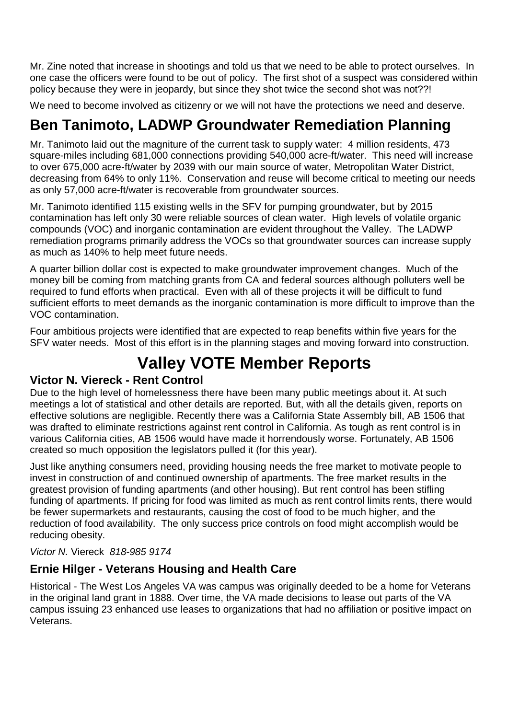Mr. Zine noted that increase in shootings and told us that we need to be able to protect ourselves. In one case the officers were found to be out of policy. The first shot of a suspect was considered within policy because they were in jeopardy, but since they shot twice the second shot was not??!

We need to become involved as citizenry or we will not have the protections we need and deserve.

# **Ben Tanimoto, LADWP Groundwater Remediation Planning**

Mr. Tanimoto laid out the magniture of the current task to supply water: 4 million residents, 473 square-miles including 681,000 connections providing 540,000 acre-ft/water. This need will increase to over 675,000 acre-ft/water by 2039 with our main source of water, Metropolitan Water District, decreasing from 64% to only 11%. Conservation and reuse will become critical to meeting our needs as only 57,000 acre-ft/water is recoverable from groundwater sources.

Mr. Tanimoto identified 115 existing wells in the SFV for pumping groundwater, but by 2015 contamination has left only 30 were reliable sources of clean water. High levels of volatile organic compounds (VOC) and inorganic contamination are evident throughout the Valley. The LADWP remediation programs primarily address the VOCs so that groundwater sources can increase supply as much as 140% to help meet future needs.

A quarter billion dollar cost is expected to make groundwater improvement changes. Much of the money bill be coming from matching grants from CA and federal sources although polluters well be required to fund efforts when practical. Even with all of these projects it will be difficult to fund sufficient efforts to meet demands as the inorganic contamination is more difficult to improve than the VOC contamination.

Four ambitious projects were identified that are expected to reap benefits within five years for the SFV water needs. Most of this effort is in the planning stages and moving forward into construction.

# **Valley VOTE Member Reports**

### **Victor N. Viereck - Rent Control**

Due to the high level of homelessness there have been many public meetings about it. At such meetings a lot of statistical and other details are reported. But, with all the details given, reports on effective solutions are negligible. Recently there was a California State Assembly bill, AB 1506 that was drafted to eliminate restrictions against rent control in California. As tough as rent control is in various California cities, AB 1506 would have made it horrendously worse. Fortunately, AB 1506 created so much opposition the legislators pulled it (for this year).

Just like anything consumers need, providing housing needs the free market to motivate people to invest in construction of and continued ownership of apartments. The free market results in the greatest provision of funding apartments (and other housing). But rent control has been stifling funding of apartments. If pricing for food was limited as much as rent control limits rents, there would be fewer supermarkets and restaurants, causing the cost of food to be much higher, and the reduction of food availability. The only success price controls on food might accomplish would be reducing obesity.

#### *Victor N.* Viereck *818-985 9174*

## **Ernie Hilger - Veterans Housing and Health Care**

Historical - The West Los Angeles VA was campus was originally deeded to be a home for Veterans in the original land grant in 1888. Over time, the VA made decisions to lease out parts of the VA campus issuing 23 enhanced use leases to organizations that had no affiliation or positive impact on Veterans.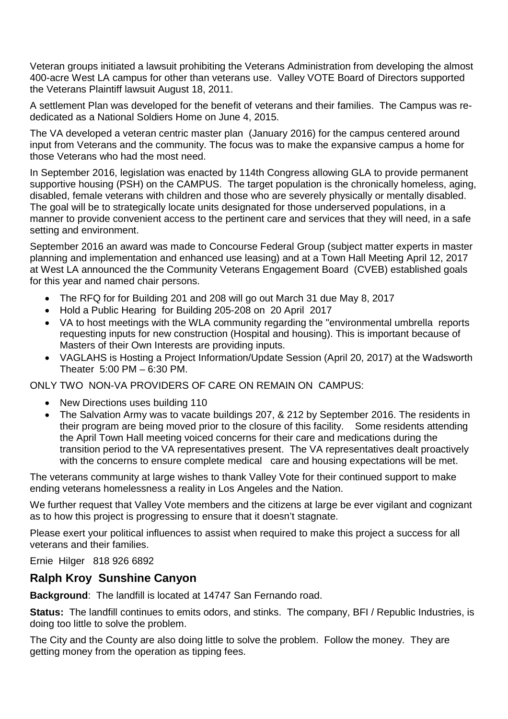Veteran groups initiated a lawsuit prohibiting the Veterans Administration from developing the almost 400-acre West LA campus for other than veterans use. Valley VOTE Board of Directors supported the Veterans Plaintiff lawsuit August 18, 2011.

A settlement Plan was developed for the benefit of veterans and their families. The Campus was rededicated as a National Soldiers Home on June 4, 2015.

The VA developed a veteran centric master plan (January 2016) for the campus centered around input from Veterans and the community. The focus was to make the expansive campus a home for those Veterans who had the most need.

In September 2016, legislation was enacted by 114th Congress allowing GLA to provide permanent supportive housing (PSH) on the CAMPUS. The target population is the chronically homeless, aging, disabled, female veterans with children and those who are severely physically or mentally disabled. The goal will be to strategically locate units designated for those underserved populations, in a manner to provide convenient access to the pertinent care and services that they will need, in a safe setting and environment.

September 2016 an award was made to Concourse Federal Group (subject matter experts in master planning and implementation and enhanced use leasing) and at a Town Hall Meeting April 12, 2017 at West LA announced the the Community Veterans Engagement Board (CVEB) established goals for this year and named chair persons.

- The RFQ for for Building 201 and 208 will go out March 31 due May 8, 2017
- Hold a Public Hearing for Building 205-208 on 20 April 2017
- VA to host meetings with the WLA community regarding the "environmental umbrella reports requesting inputs for new construction (Hospital and housing). This is important because of Masters of their Own Interests are providing inputs.
- VAGLAHS is Hosting a Project Information/Update Session (April 20, 2017) at the Wadsworth Theater 5:00 PM – 6:30 PM.

ONLY TWO NON-VA PROVIDERS OF CARE ON REMAIN ON CAMPUS:

- New Directions uses building 110
- The Salvation Army was to vacate buildings 207, & 212 by September 2016. The residents in their program are being moved prior to the closure of this facility. Some residents attending the April Town Hall meeting voiced concerns for their care and medications during the transition period to the VA representatives present. The VA representatives dealt proactively with the concerns to ensure complete medical care and housing expectations will be met.

The veterans community at large wishes to thank Valley Vote for their continued support to make ending veterans homelessness a reality in Los Angeles and the Nation.

We further request that Valley Vote members and the citizens at large be ever vigilant and cognizant as to how this project is progressing to ensure that it doesn't stagnate.

Please exert your political influences to assist when required to make this project a success for all veterans and their families.

Ernie Hilger 818 926 6892

#### **Ralph Kroy Sunshine Canyon**

**Background**: The landfill is located at 14747 San Fernando road.

**Status:** The landfill continues to emits odors, and stinks. The company, BFI / Republic Industries, is doing too little to solve the problem.

The City and the County are also doing little to solve the problem. Follow the money. They are getting money from the operation as tipping fees.